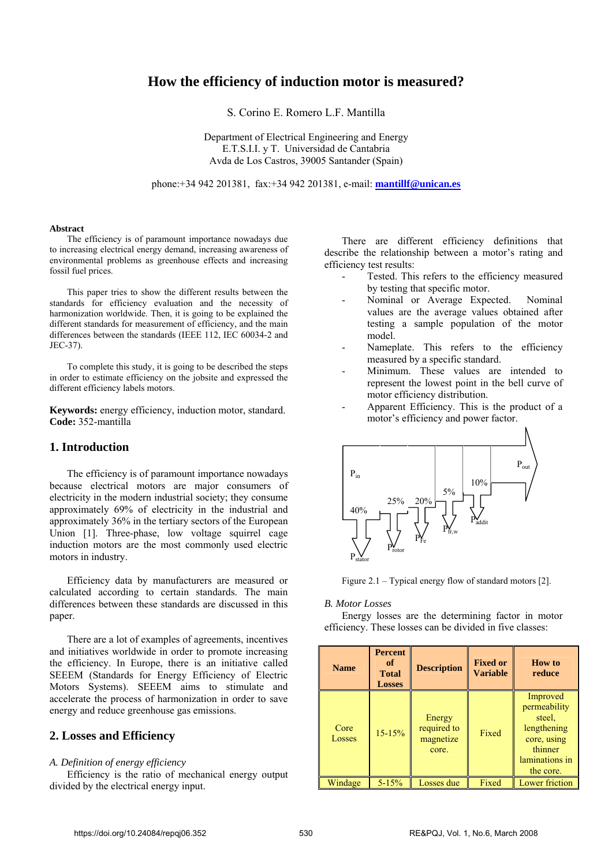# **How the efficiency of induction motor is measured?**

S. Corino E. Romero L.F. Mantilla

Department of Electrical Engineering and Energy E.T.S.I.I. y T. Universidad de Cantabria Avda de Los Castros, 39005 Santander (Spain)

phone:+34 942 201381, fax:+34 942 201381, e-mail: **mantillf@unican.es**

#### **Abstract**

The efficiency is of paramount importance nowadays due to increasing electrical energy demand, increasing awareness of environmental problems as greenhouse effects and increasing fossil fuel prices.

This paper tries to show the different results between the standards for efficiency evaluation and the necessity of harmonization worldwide. Then, it is going to be explained the different standards for measurement of efficiency, and the main differences between the standards (IEEE 112, IEC 60034-2 and JEC-37).

To complete this study, it is going to be described the steps in order to estimate efficiency on the jobsite and expressed the different efficiency labels motors.

**Keywords:** energy efficiency, induction motor, standard. **Code:** 352-mantilla

#### **1. Introduction**

The efficiency is of paramount importance nowadays because electrical motors are major consumers of electricity in the modern industrial society; they consume approximately 69% of electricity in the industrial and approximately 36% in the tertiary sectors of the European Union [1]. Three-phase, low voltage squirrel cage induction motors are the most commonly used electric motors in industry.

Efficiency data by manufacturers are measured or calculated according to certain standards. The main differences between these standards are discussed in this paper.

There are a lot of examples of agreements, incentives and initiatives worldwide in order to promote increasing the efficiency. In Europe, there is an initiative called SEEEM (Standards for Energy Efficiency of Electric Motors Systems). SEEEM aims to stimulate and accelerate the process of harmonization in order to save energy and reduce greenhouse gas emissions.

## **2. Losses and Efficiency**

#### *A. Definition of energy efficiency*

Efficiency is the ratio of mechanical energy output divided by the electrical energy input.

There are different efficiency definitions that describe the relationship between a motor's rating and efficiency test results:

- Tested. This refers to the efficiency measured by testing that specific motor.
- Nominal or Average Expected. Nominal values are the average values obtained after testing a sample population of the motor model.
- Nameplate. This refers to the efficiency measured by a specific standard.
- Minimum. These values are intended to represent the lowest point in the bell curve of motor efficiency distribution.
- Apparent Efficiency. This is the product of a motor's efficiency and power factor.



Figure 2.1 – Typical energy flow of standard motors [2].

### *B. Motor Losses*

Energy losses are the determining factor in motor efficiency. These losses can be divided in five classes:

| <b>Name</b>    | <b>Percent</b><br>of<br><b>Total</b><br><b>Losses</b> | <b>Description</b>                          | <b>Fixed or</b><br><b>Variable</b> | How to<br>reduce                                                                                           |
|----------------|-------------------------------------------------------|---------------------------------------------|------------------------------------|------------------------------------------------------------------------------------------------------------|
| Core<br>Losses | $15 - 15%$                                            | Energy<br>required to<br>magnetize<br>core. | Fixed                              | Improved<br>permeability<br>steel.<br>lengthening<br>core, using<br>thinner<br>laminations in<br>the core. |
| Windage        | $5 - 15%$                                             | Losses due                                  | Fixed                              | Lower friction                                                                                             |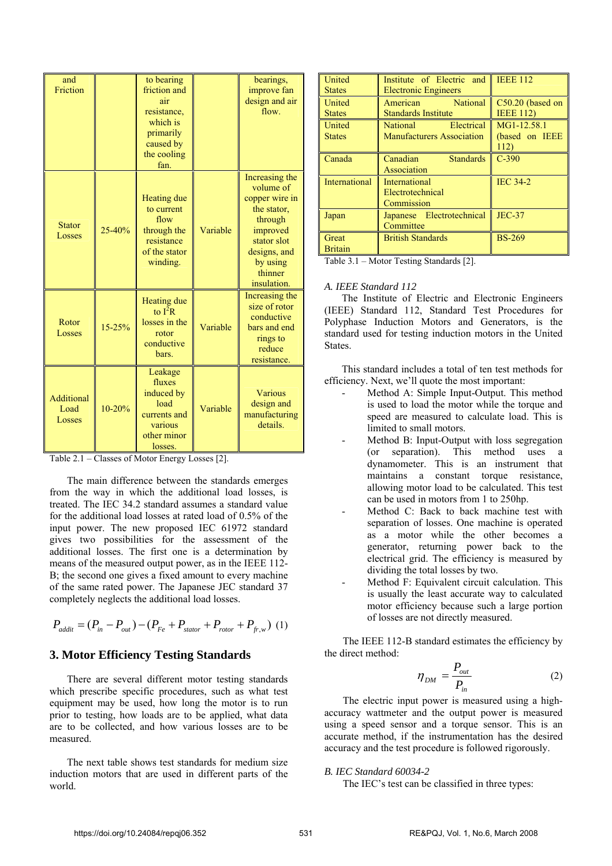| and<br>Friction                     |        | to bearing<br>friction and<br>air<br>resistance.<br>which is<br>primarily<br>caused by<br>the cooling<br>fan. |          | bearings,<br>improve fan<br>design and air<br>flow.                                                                                                      |
|-------------------------------------|--------|---------------------------------------------------------------------------------------------------------------|----------|----------------------------------------------------------------------------------------------------------------------------------------------------------|
| <b>Stator</b><br>Losses             | 25-40% | <b>Heating due</b><br>to current<br>flow<br>through the<br>resistance<br>of the stator<br>winding.            | Variable | Increasing the<br>volume of<br>copper wire in<br>the stator,<br>through<br>improved<br>stator slot<br>designs, and<br>by using<br>thinner<br>insulation. |
| Rotor<br>Losses                     | 15-25% | <b>Heating due</b><br>to $I^2R$<br>losses in the<br>rotor<br>conductive<br>bars.                              | Variable | Increasing the<br>size of rotor<br>conductive<br>bars and end<br>rings to<br>reduce<br>resistance.                                                       |
| <b>Additional</b><br>Load<br>Losses | 10-20% | Leakage<br>fluxes<br>induced by<br>load<br>currents and<br>various<br>other minor<br>losses.                  | Variable | <b>Various</b><br>design and<br>manufacturing<br>details.                                                                                                |

Table 2.1 – Classes of Motor Energy Losses [2].

The main difference between the standards emerges from the way in which the additional load losses, is treated. The IEC 34.2 standard assumes a standard value for the additional load losses at rated load of 0.5% of the input power. The new proposed IEC 61972 standard gives two possibilities for the assessment of the additional losses. The first one is a determination by means of the measured output power, as in the IEEE 112- B; the second one gives a fixed amount to every machine of the same rated power. The Japanese JEC standard 37 completely neglects the additional load losses.

$$
P_{addit} = (P_{in} - P_{out}) - (P_{Fe} + P_{stator} + P_{rotor} + P_{fr,w})
$$
 (1)

## **3. Motor Efficiency Testing Standards**

There are several different motor testing standards which prescribe specific procedures, such as what test equipment may be used, how long the motor is to run prior to testing, how loads are to be applied, what data are to be collected, and how various losses are to be measured.

The next table shows test standards for medium size induction motors that are used in different parts of the world.

| United         | Institute of Electric and EEE 112 |                  |
|----------------|-----------------------------------|------------------|
| <b>States</b>  | <b>Electronic Engineers</b>       |                  |
| United         | American National                 | C50.20 (based on |
| <b>States</b>  | <b>Standards Institute</b>        | <b>IEEE 112)</b> |
| United         | National Electrical               | MG1-12.58.1      |
| <b>States</b>  | <b>Manufacturers Association</b>  | (based on IEEE   |
|                |                                   | 112)             |
| Canada         | <b>Standards</b><br>Canadian      | $C-390$          |
|                | Association                       |                  |
| International  | International                     | <b>IEC 34-2</b>  |
|                | Electrotechnical                  |                  |
|                | Commission                        |                  |
| Japan          | Japanese Electrotechnical         | $JEC-37$         |
|                | Committee                         |                  |
| Great          | <b>British Standards</b>          | <b>BS-269</b>    |
| <b>Britain</b> |                                   |                  |

Table 3.1 – Motor Testing Standards [2].

#### *A. IEEE Standard 112*

The Institute of Electric and Electronic Engineers (IEEE) Standard 112, Standard Test Procedures for Polyphase Induction Motors and Generators, is the standard used for testing induction motors in the United States.

This standard includes a total of ten test methods for efficiency. Next, we'll quote the most important:

- Method A: Simple Input-Output. This method is used to load the motor while the torque and speed are measured to calculate load. This is limited to small motors.
- Method B: Input-Output with loss segregation (or separation). This method uses a dynamometer. This is an instrument that maintains a constant torque resistance, allowing motor load to be calculated. This test can be used in motors from 1 to 250hp.
- Method C: Back to back machine test with separation of losses. One machine is operated as a motor while the other becomes a generator, returning power back to the electrical grid. The efficiency is measured by dividing the total losses by two.
- Method F: Equivalent circuit calculation. This is usually the least accurate way to calculated motor efficiency because such a large portion of losses are not directly measured.

The IEEE 112-B standard estimates the efficiency by the direct method:

$$
\eta_{DM} = \frac{P_{out}}{P_{in}} \tag{2}
$$

The electric input power is measured using a highaccuracy wattmeter and the output power is measured using a speed sensor and a torque sensor. This is an accurate method, if the instrumentation has the desired accuracy and the test procedure is followed rigorously.

#### *B. IEC Standard 60034-2*

The IEC's test can be classified in three types: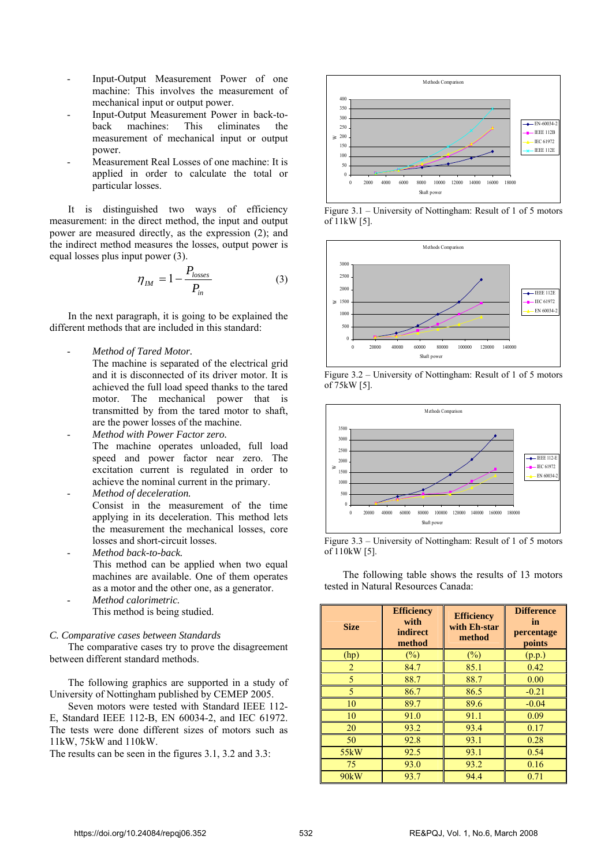- Input-Output Measurement Power of one machine: This involves the measurement of mechanical input or output power.
- Input-Output Measurement Power in back-toback machines: This eliminates the measurement of mechanical input or output power.
- Measurement Real Losses of one machine: It is applied in order to calculate the total or particular losses.

It is distinguished two ways of efficiency measurement: in the direct method, the input and output power are measured directly, as the expression (2); and the indirect method measures the losses, output power is equal losses plus input power (3).

$$
\eta_{IM} = 1 - \frac{P_{losses}}{P_{in}} \tag{3}
$$

In the next paragraph, it is going to be explained the different methods that are included in this standard:

- *Method of Tared Motor.*
	- The machine is separated of the electrical grid and it is disconnected of its driver motor. It is achieved the full load speed thanks to the tared motor. The mechanical power that is transmitted by from the tared motor to shaft, are the power losses of the machine.
	- *Method with Power Factor zero.* The machine operates unloaded, full load speed and power factor near zero. The excitation current is regulated in order to achieve the nominal current in the primary.
	- *Method of deceleration.* Consist in the measurement of the time applying in its deceleration. This method lets the measurement the mechanical losses, core losses and short-circuit losses.
- *Method back-to-back.* This method can be applied when two equal machines are available. One of them operates as a motor and the other one, as a generator.
- *Method calorimetric.* This method is being studied.

#### *C. Comparative cases between Standards*

The comparative cases try to prove the disagreement between different standard methods.

The following graphics are supported in a study of University of Nottingham published by CEMEP 2005.

Seven motors were tested with Standard IEEE 112- E, Standard IEEE 112-B, EN 60034-2, and IEC 61972. The tests were done different sizes of motors such as 11kW, 75kW and 110kW.

The results can be seen in the figures 3.1, 3.2 and 3.3:



Figure 3.1 – University of Nottingham: Result of 1 of 5 motors of 11kW [5].



Figure 3.2 – University of Nottingham: Result of 1 of 5 motors of 75kW [5].



Figure 3.3 – University of Nottingham: Result of 1 of 5 motors of 110kW [5].

The following table shows the results of 13 motors tested in Natural Resources Canada:

| <b>Size</b>       | <b>Efficiency</b><br>with<br>indirect<br>method | <b>Efficiency</b><br>with Eh-star<br>method | <b>Difference</b><br>in<br>percentage<br>points |
|-------------------|-------------------------------------------------|---------------------------------------------|-------------------------------------------------|
| (hp)              | $\frac{1}{2}$                                   | (%)                                         | (p.p.)                                          |
| $\overline{2}$    | 84.7                                            | 85.1                                        | 0.42                                            |
| 5                 | 88.7                                            | 88.7                                        | 0.00                                            |
| 5                 | 86.7                                            | 86.5                                        | $-0.21$                                         |
| 10                | 89.7                                            | 89.6                                        | $-0.04$                                         |
| 10                | 91.0                                            | 91.1                                        | 0.09                                            |
| 20                | 93.2                                            | 93.4                                        | 0.17                                            |
| 50                | 92.8                                            | 93.1                                        | 0.28                                            |
| 55 <sub>k</sub> W | 92.5                                            | 93.1                                        | 0.54                                            |
| 75                | 93.0                                            | 93.2                                        | 0.16                                            |
| 90 <sub>k</sub> W | 93.7                                            | 94.4                                        | 0.71                                            |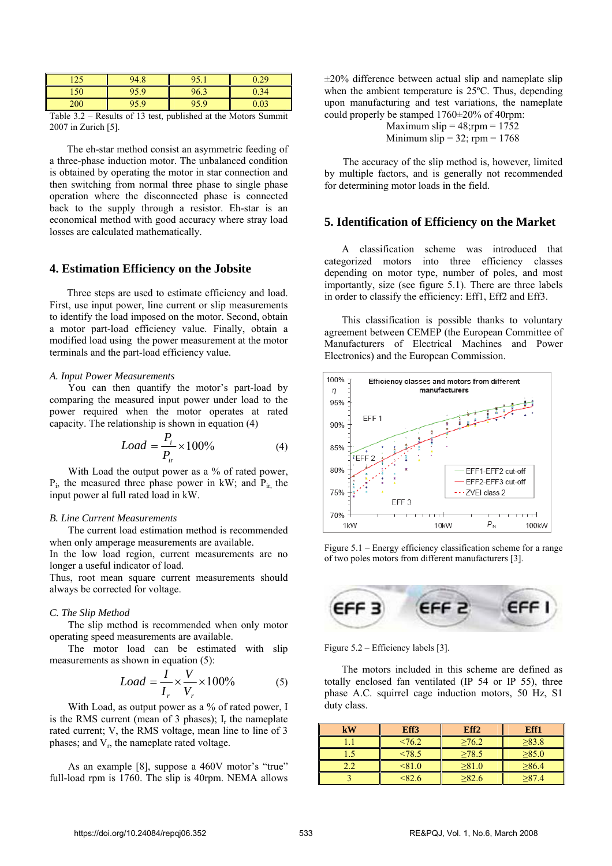| $1 \cap F$<br>سد | 94<br>$\Omega$<br>т. | 0 <sup>5</sup> | $\Omega$ |
|------------------|----------------------|----------------|----------|
| 150              |                      | 96.2           |          |
| 200              |                      |                |          |

Table 3.2 – Results of 13 test, published at the Motors Summit 2007 in Zurich [5].

The eh-star method consist an asymmetric feeding of a three-phase induction motor. The unbalanced condition is obtained by operating the motor in star connection and then switching from normal three phase to single phase operation where the disconnected phase is connected back to the supply through a resistor. Eh-star is an economical method with good accuracy where stray load losses are calculated mathematically.

## **4. Estimation Efficiency on the Jobsite**

Three steps are used to estimate efficiency and load. First, use input power, line current or slip measurements to identify the load imposed on the motor. Second, obtain a motor part-load efficiency value. Finally, obtain a modified load using the power measurement at the motor terminals and the part-load efficiency value.

## *A. Input Power Measurements*

You can then quantify the motor's part-load by comparing the measured input power under load to the power required when the motor operates at rated capacity. The relationship is shown in equation (4)

$$
Load = \frac{P_i}{P_{ir}} \times 100\% \tag{4}
$$

With Load the output power as a % of rated power,  $P_i$ , the measured three phase power in kW; and  $P_i$  the input power al full rated load in kW.

#### *B. Line Current Measurements*

The current load estimation method is recommended when only amperage measurements are available.

In the low load region, current measurements are no longer a useful indicator of load.

Thus, root mean square current measurements should always be corrected for voltage.

#### *C. The Slip Method*

The slip method is recommended when only motor operating speed measurements are available.

The motor load can be estimated with slip measurements as shown in equation (5):

$$
Load = \frac{I}{I_r} \times \frac{V}{V_r} \times 100\% \tag{5}
$$

With Load, as output power as a % of rated power, I is the RMS current (mean of 3 phases);  $I_r$  the nameplate rated current; V, the RMS voltage, mean line to line of 3 phases; and  $V_r$ , the nameplate rated voltage.

As an example [8], suppose a 460V motor's "true" full-load rpm is 1760. The slip is 40rpm. NEMA allows  $\pm 20\%$  difference between actual slip and nameplate slip when the ambient temperature is 25ºC. Thus, depending upon manufacturing and test variations, the nameplate could properly be stamped 1760±20% of 40rpm:

> Maximum slip  $= 48$ ; rpm  $= 1752$ Minimum slip =  $32$ ; rpm =  $1768$

The accuracy of the slip method is, however, limited by multiple factors, and is generally not recommended for determining motor loads in the field.

## **5. Identification of Efficiency on the Market**

A classification scheme was introduced that categorized motors into three efficiency classes depending on motor type, number of poles, and most importantly, size (see figure 5.1). There are three labels in order to classify the efficiency: Eff1, Eff2 and Eff3.

This classification is possible thanks to voluntary agreement between CEMEP (the European Committee of Manufacturers of Electrical Machines and Power Electronics) and the European Commission.



Figure 5.1 – Energy efficiency classification scheme for a range of two poles motors from different manufacturers [3].



Figure 5.2 – Efficiency labels [3].

The motors included in this scheme are defined as totally enclosed fan ventilated (IP 54 or IP 55), three phase A.C. squirrel cage induction motors, 50 Hz, S1 duty class.

| kW | Eff3     | Eff <sub>2</sub> | Eff1        |
|----|----------|------------------|-------------|
|    | < 76.2   | >76.2            | >83.8       |
|    | < 78.5   | $\geq 78.5$      | $\geq 85.0$ |
|    | < 81.0   | >81.0            | >86.4       |
|    | $<$ 82.6 | >82.6            | >87.4       |